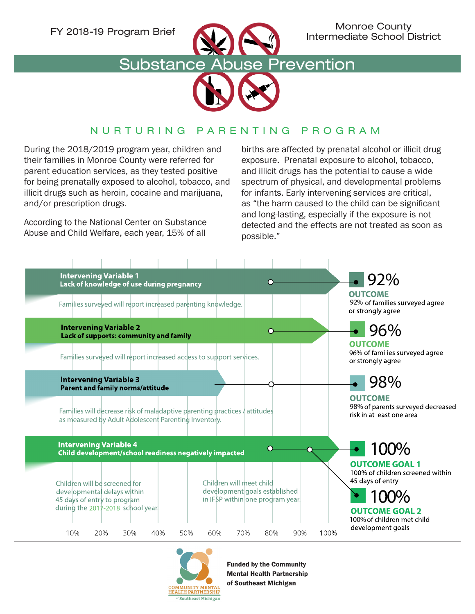

FY 2018-19 Program Brief Monroe County Intermediate School District

## Substance Abuse Prevention



## NURTURING PARENTING PROGRAM

During the 2018/2019 program year, children and their families in Monroe County were referred for parent education services, as they tested positive for being prenatally exposed to alcohol, tobacco, and illicit drugs such as heroin, cocaine and marijuana, and/or prescription drugs.

According to the National Center on Substance Abuse and Child Welfare, each year, 15% of all

births are affected by prenatal alcohol or illicit drug exposure. Prenatal exposure to alcohol, tobacco, and illicit drugs has the potential to cause a wide spectrum of physical, and developmental problems for infants. Early intervening services are critical, as "the harm caused to the child can be significant and long-lasting, especially if the exposure is not detected and the effects are not treated as soon as possible."





Funded by the Community Mental Health Partnership of Southeast Michigan